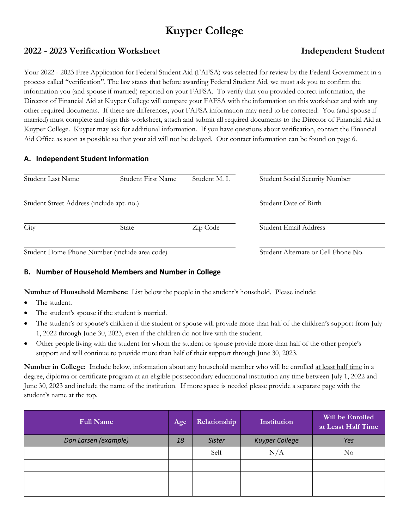# **Kuyper College**

# **2022 - 2023 Verification Worksheet Independent Student**

Your 2022 - 2023 Free Application for Federal Student Aid (FAFSA) was selected for review by the Federal Government in a process called "verification". The law states that before awarding Federal Student Aid, we must ask you to confirm the information you (and spouse if married) reported on your FAFSA. To verify that you provided correct information, the Director of Financial Aid at Kuyper College will compare your FAFSA with the information on this worksheet and with any other required documents. If there are differences, your FAFSA information may need to be corrected. You (and spouse if married) must complete and sign this worksheet, attach and submit all required documents to the Director of Financial Aid at Kuyper College. Kuyper may ask for additional information. If you have questions about verification, contact the Financial Aid Office as soon as possible so that your aid will not be delayed. Our contact information can be found on page 6.

# **A. Independent Student Information**

| Student Last Name                             | Student First Name | Student M. L. | <b>Student Social Security Number</b> |
|-----------------------------------------------|--------------------|---------------|---------------------------------------|
| Student Street Address (include apt. no.)     |                    |               | Student Date of Birth                 |
| City                                          | <b>State</b>       | Zip Code      | Student Email Address                 |
| Student Home Phone Number (include area code) |                    |               | Student Alternate or Cell Phone No.   |

# **B. Number of Household Members and Number in College**

**Number of Household Members:** List below the people in the student's household. Please include:

- The student.
- The student's spouse if the student is married.
- The student's or spouse's children if the student or spouse will provide more than half of the children's support from July 1, 2022 through June 30, 2023, even if the children do not live with the student.
- Other people living with the student for whom the student or spouse provide more than half of the other people's support and will continue to provide more than half of their support through June 30, 2023.

**Number in College:** Include below, information about any household member who will be enrolled at least half time in a degree, diploma or certificate program at an eligible postsecondary educational institution any time between July 1, 2022 and June 30, 2023 and include the name of the institution. If more space is needed please provide a separate page with the student's name at the top.

| <b>Full Name</b>     | Age | Relationship  | Institution           | Will be Enrolled<br>at Least Half Time |
|----------------------|-----|---------------|-----------------------|----------------------------------------|
| Don Larsen (example) | 18  | <b>Sister</b> | <b>Kuyper College</b> | Yes                                    |
|                      |     | Self          | N/A                   | No                                     |
|                      |     |               |                       |                                        |
|                      |     |               |                       |                                        |
|                      |     |               |                       |                                        |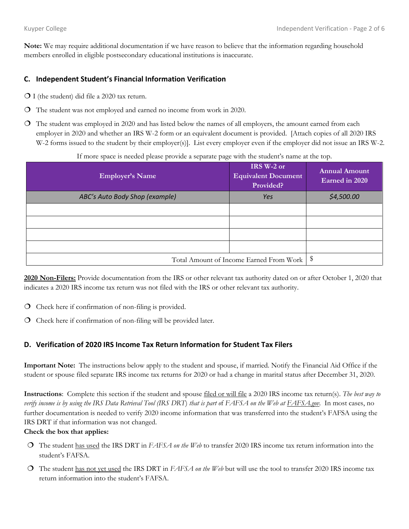**Note:** We may require additional documentation if we have reason to believe that the information regarding household members enrolled in eligible postsecondary educational institutions is inaccurate.

# **C. Independent Student's Financial Information Verification**

- $\bigcirc$  I (the student) did file a 2020 tax return.
- The student was not employed and earned no income from work in 2020.
- The student was employed in 2020 and has listed below the names of all employers, the amount earned from each employer in 2020 and whether an IRS W-2 form or an equivalent document is provided. [Attach copies of all 2020 IRS W-2 forms issued to the student by their employer(s)]. List every employer even if the employer did not issue an IRS W-2.

| <b>Employer's Name</b>         | IRS W-2 or<br><b>Equivalent Document</b><br>Provided? | <b>Annual Amount</b><br>Earned in 2020 |
|--------------------------------|-------------------------------------------------------|----------------------------------------|
| ABC's Auto Body Shop (example) | Yes                                                   | \$4,500.00                             |
|                                |                                                       |                                        |
|                                |                                                       |                                        |
|                                |                                                       |                                        |
|                                |                                                       |                                        |
|                                | Total Amount of Income Earned From Work               | - \$                                   |

If more space is needed please provide a separate page with the student's name at the top.

**2020 Non-Filers:** Provide documentation from the IRS or other relevant tax authority dated on or after October 1, 2020 that indicates a 2020 IRS income tax return was not filed with the IRS or other relevant tax authority.

- $\overline{O}$  Check here if confirmation of non-filing is provided.
- $\overline{O}$  Check here if confirmation of non-filing will be provided later.

# **D. Verification of 2020 IRS Income Tax Return Information for Student Tax Filers**

**Important Note:** The instructions below apply to the student and spouse, if married. Notify the Financial Aid Office if the student or spouse filed separate IRS income tax returns for 2020 or had a change in marital status after December 31, 2020.

**Instructions**: Complete this section if the student and spouse filed or will file a 2020 IRS income tax return(s). *The best way to verify income is by using the IRS Data Retrieval Tool (IRS DRT*) *that is part o*f *FAFSA on the Web at FAFSA.gov.* In most cases, no further documentation is needed to verify 2020 income information that was transferred into the student's FAFSA using the IRS DRT if that information was not changed.

#### **Check the box that applies:**

- The student has used the IRS DRT in *FAFSA on the Web* to transfer 2020 IRS income tax return information into the student's FAFSA*.*
- The student has not yet used the IRS DRT in *FAFSA on the Web* but will use the tool to transfer 2020 IRS income tax return information into the student's FAFSA.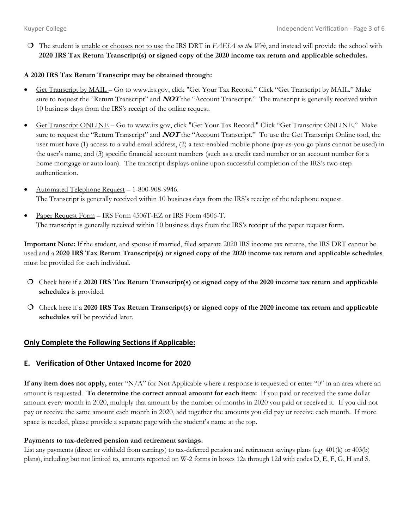The student is unable or chooses not to use the IRS DRT in *FAFSA on the Web*, and instead will provide the school with **2020 IRS Tax Return Transcript(s) or signed copy of the 2020 income tax return and applicable schedules.**

## **A 2020 IRS Tax Return Transcript may be obtained through:**

- Get Transcript by MAIL Go to www.irs.gov, click "Get Your Tax Record." Click "Get Transcript by MAIL." Make sure to request the "Return Transcript" and **NOT** the "Account Transcript." The transcript is generally received within 10 business days from the IRS's receipt of the online request.
- Get Transcript ONLINE Go to www.irs.gov, click "Get Your Tax Record." Click "Get Transcript ONLINE." Make sure to request the "Return Transcript" and **NOT** the "Account Transcript." To use the Get Transcript Online tool, the user must have (1) access to a valid email address, (2) a text-enabled mobile phone (pay-as-you-go plans cannot be used) in the user's name, and (3) specific financial account numbers (such as a credit card number or an account number for a home mortgage or auto loan). The transcript displays online upon successful completion of the IRS's two-step authentication.
- Automated Telephone Request 1-800-908-9946. The Transcript is generally received within 10 business days from the IRS's receipt of the telephone request.
- Paper Request Form IRS Form 4506T-EZ or IRS Form 4506-T. The transcript is generally received within 10 business days from the IRS's receipt of the paper request form.

**Important Note:** If the student, and spouse if married, filed separate 2020 IRS income tax returns, the IRS DRT cannot be used and a **2020 IRS Tax Return Transcript(s) or signed copy of the 2020 income tax return and applicable schedules** must be provided for each individual.

- Check here if a **2020 IRS Tax Return Transcript(s) or signed copy of the 2020 income tax return and applicable schedules** is provided.
- Check here if a **2020 IRS Tax Return Transcript(s) or signed copy of the 2020 income tax return and applicable schedules** will be provided later.

# **Only Complete the Following Sections if Applicable:**

# **E. Verification of Other Untaxed Income for 2020**

**If any item does not apply,** enter "N/A" for Not Applicable where a response is requested or enter "0" in an area where an amount is requested. **To determine the correct annual amount for each item:** If you paid or received the same dollar amount every month in 2020, multiply that amount by the number of months in 2020 you paid or received it. If you did not pay or receive the same amount each month in 2020, add together the amounts you did pay or receive each month. If more space is needed, please provide a separate page with the student's name at the top.

#### **Payments to tax-deferred pension and retirement savings.**

List any payments (direct or withheld from earnings) to tax-deferred pension and retirement savings plans (e.g. 401(k) or 403(b) plans), including but not limited to, amounts reported on W-2 forms in boxes 12a through 12d with codes D, E, F, G, H and S.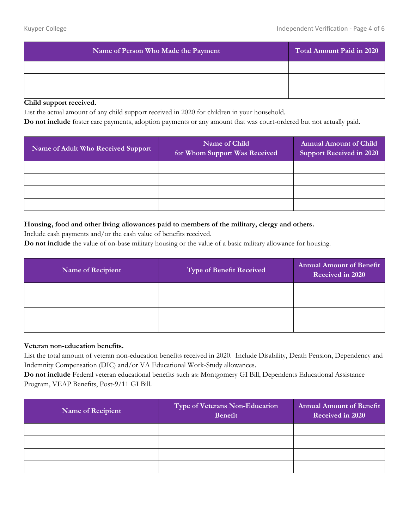| Name of Person Who Made the Payment | Total Amount Paid in 2020 |
|-------------------------------------|---------------------------|
|                                     |                           |
|                                     |                           |
|                                     |                           |

#### **Child support received.**

List the actual amount of any child support received in 2020 for children in your household.

**Do not include** foster care payments, adoption payments or any amount that was court-ordered but not actually paid.

| Name of Adult Who Received Support | Name of Child<br>for Whom Support Was Received | <b>Annual Amount of Child</b><br><b>Support Received in 2020</b> |
|------------------------------------|------------------------------------------------|------------------------------------------------------------------|
|                                    |                                                |                                                                  |
|                                    |                                                |                                                                  |
|                                    |                                                |                                                                  |
|                                    |                                                |                                                                  |

#### **Housing, food and other living allowances paid to members of the military, clergy and others.**

Include cash payments and/or the cash value of benefits received.

**Do not include** the value of on-base military housing or the value of a basic military allowance for housing.

| <b>Name of Recipient</b> | <b>Type of Benefit Received</b> | <b>Annual Amount of Benefit</b><br>Received in 2020 |
|--------------------------|---------------------------------|-----------------------------------------------------|
|                          |                                 |                                                     |
|                          |                                 |                                                     |
|                          |                                 |                                                     |
|                          |                                 |                                                     |

## **Veteran non-education benefits.**

List the total amount of veteran non-education benefits received in 2020. Include Disability, Death Pension, Dependency and Indemnity Compensation (DIC) and/or VA Educational Work-Study allowances.

**Do not include** Federal veteran educational benefits such as: Montgomery GI Bill, Dependents Educational Assistance Program, VEAP Benefits, Post-9/11 GI Bill.

| <b>Name of Recipient</b> | <b>Type of Veterans Non-Education</b><br><b>Benefit</b> | <b>Annual Amount of Benefit</b><br>Received in 2020 |
|--------------------------|---------------------------------------------------------|-----------------------------------------------------|
|                          |                                                         |                                                     |
|                          |                                                         |                                                     |
|                          |                                                         |                                                     |
|                          |                                                         |                                                     |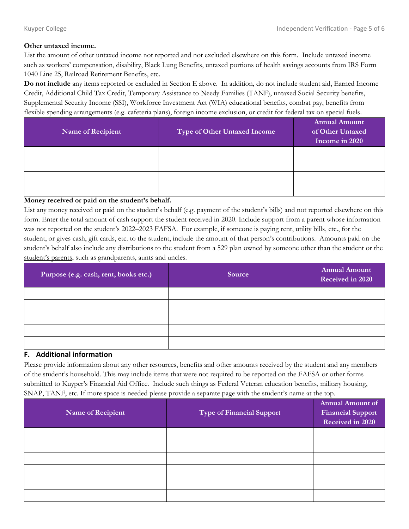#### **Other untaxed income.**

List the amount of other untaxed income not reported and not excluded elsewhere on this form. Include untaxed income such as workers' compensation, disability, Black Lung Benefits, untaxed portions of health savings accounts from IRS Form 1040 Line 25, Railroad Retirement Benefits, etc.

**Do not include** any items reported or excluded in Section E above. In addition, do not include student aid, Earned Income Credit, Additional Child Tax Credit, Temporary Assistance to Needy Families (TANF), untaxed Social Security benefits, Supplemental Security Income (SSI), Workforce Investment Act (WIA) educational benefits, combat pay, benefits from flexible spending arrangements (e.g. cafeteria plans), foreign income exclusion, or credit for federal tax on special fuels.

| Name of Recipient | <b>Type of Other Untaxed Income</b> | <b>Annual Amount</b><br>of Other Untaxed<br>Income in 2020 |
|-------------------|-------------------------------------|------------------------------------------------------------|
|                   |                                     |                                                            |
|                   |                                     |                                                            |
|                   |                                     |                                                            |
|                   |                                     |                                                            |

## **Money received or paid on the student's behalf.**

List any money received or paid on the student's behalf (e.g. payment of the student's bills) and not reported elsewhere on this form. Enter the total amount of cash support the student received in 2020. Include support from a parent whose information was not reported on the student's 2022–2023 FAFSA. For example, if someone is paying rent, utility bills, etc., for the student, or gives cash, gift cards, etc. to the student, include the amount of that person's contributions. Amounts paid on the student's behalf also include any distributions to the student from a 529 plan owned by someone other than the student or the student's parents, such as grandparents, aunts and uncles.

| Purpose (e.g. cash, rent, books etc.) | Source | <b>Annual Amount</b><br>Received in 2020 |
|---------------------------------------|--------|------------------------------------------|
|                                       |        |                                          |
|                                       |        |                                          |
|                                       |        |                                          |
|                                       |        |                                          |
|                                       |        |                                          |

# **F. Additional information**

Please provide information about any other resources, benefits and other amounts received by the student and any members of the student's household. This may include items that were not required to be reported on the FAFSA or other forms submitted to Kuyper's Financial Aid Office. Include such things as Federal Veteran education benefits, military housing, SNAP, TANF, etc. If more space is needed please provide a separate page with the student's name at the top.

| Name of Recipient | Type of Financial Support | <b>Annual Amount of</b><br><b>Financial Support</b><br>Received in 2020 |
|-------------------|---------------------------|-------------------------------------------------------------------------|
|                   |                           |                                                                         |
|                   |                           |                                                                         |
|                   |                           |                                                                         |
|                   |                           |                                                                         |
|                   |                           |                                                                         |
|                   |                           |                                                                         |